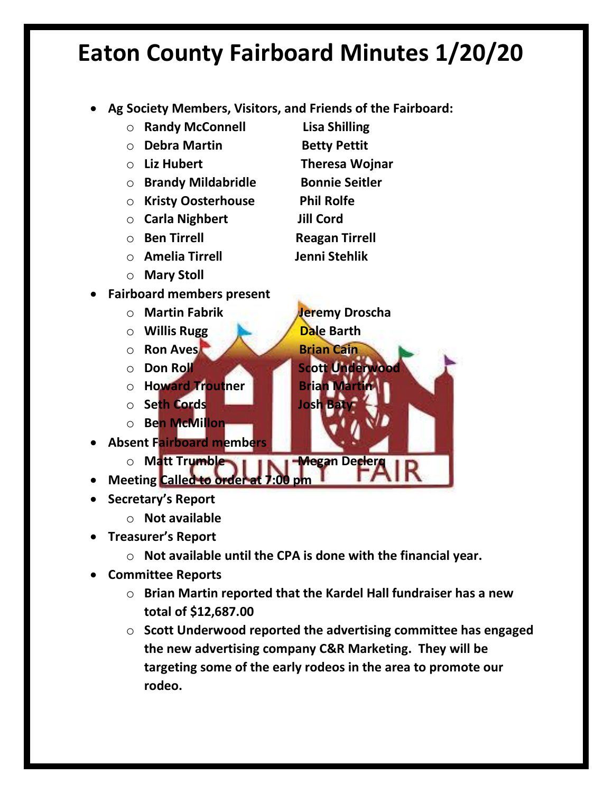- **Ag Society Members, Visitors, and Friends of the Fairboard:**
	- o **Randy McConnell Lisa Shilling**
	- o **Debra Martin Betty Pettit**
	- o **Liz Hubert Theresa Wojnar**
	- o **Brandy Mildabridle Bonnie Seitler**
	- o **Kristy Oosterhouse Phil Rolfe**
	- o **Carla Nighbert Jill Cord**
	-
	- o **Amelia Tirrell Jenni Stehlik**
	- o **Mary Stoll**
- **Fairboard members present**
	- o **Martin Fabrik Jeremy Droscha**
	- o **Willis Rugg Dale Barth**
	- o **Ron Aves Brian Cain**
	- o Don Roll Scott Underwood
	- o **Howard Troutner Brian Martin**
	- o **Seth Cords Josh Baty**
	- o **Ben McMillon**
- **Absent Fairboard members**
	- o **Matt Trumble Many Hammar Decler**
- **Meeting Called to order at 7:00 pm**
- **Secretary's Report** 
	- o **Not available**
- **Treasurer's Report**
	- o **Not available until the CPA is done with the financial year.**
- **Committee Reports**
	- o **Brian Martin reported that the Kardel Hall fundraiser has a new total of \$12,687.00**
	- o **Scott Underwood reported the advertising committee has engaged the new advertising company C&R Marketing. They will be targeting some of the early rodeos in the area to promote our rodeo.**
- -
	-
- 
- 
- o **Ben Tirrell Reagan Tirrell**
	- -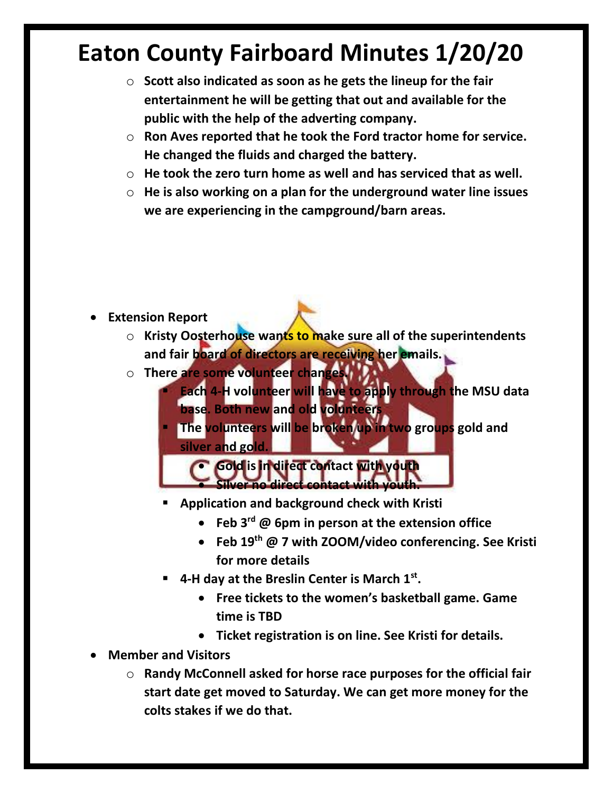- o **Scott also indicated as soon as he gets the lineup for the fair entertainment he will be getting that out and available for the public with the help of the adverting company.**
- o **Ron Aves reported that he took the Ford tractor home for service. He changed the fluids and charged the battery.**
- o **He took the zero turn home as well and has serviced that as well.**
- o **He is also working on a plan for the underground water line issues we are experiencing in the campground/barn areas.**

- **Extension Report** 
	- o **Kristy Oosterhouse wants to make sure all of the superintendents and fair board of directors are receiving her emails.**
	- o **There are some volunteer changes.** 
		- **Each 4-H volunteer will have to apply through the MSU data base. Both new and old volunteers**

**The volunteers will be broken up in two groups gold and silver and gold.** 

• **Gold is in direct contact with youth**  • **Silver no direct contact with youth.**

- **Application and background check with Kristi**
	- **Feb 3rd @ 6pm in person at the extension office**
	- **Feb 19th @ 7 with ZOOM/video conferencing. See Kristi for more details**
- **4-H day at the Breslin Center is March 1st .** 
	- **Free tickets to the women's basketball game. Game time is TBD**
	- **Ticket registration is on line. See Kristi for details.**
- **Member and Visitors**
	- o **Randy McConnell asked for horse race purposes for the official fair start date get moved to Saturday. We can get more money for the colts stakes if we do that.**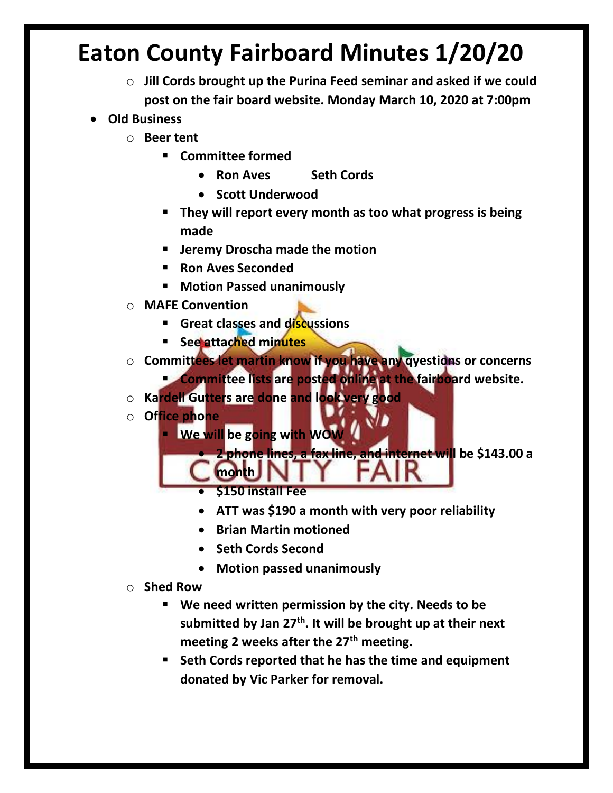- o **Jill Cords brought up the Purina Feed seminar and asked if we could post on the fair board website. Monday March 10, 2020 at 7:00pm**
- **Old Business**
	- o **Beer tent**
		- **Committee formed**
			- **Ron Aves Seth Cords**
			- **Scott Underwood**
		- **They will report every month as too what progress is being made**
		- **Jeremy Droscha made the motion**
		- **Ron Aves Seconded**
		- **Motion Passed unanimously**
	- o **MAFE Convention** 
		- **Great classes and discussions**
		- **See attached minutes**
	- o **Committees let martin know if you have any qyestions or concerns**

**<u><b>E** Committee lists are posted online at the fairboard website.</u>

- o **Kardell Gutters are done and look very good**
- o **Office phone** 
	- **E** We will be going with WOW
		- **2 phone lines, a fax line, and internet will be \$143.00 a**
		- **\$150 install Fee**

**month**

- **ATT was \$190 a month with very poor reliability**
- **Brian Martin motioned**
- **Seth Cords Second**
- **Motion passed unanimously**
- o **Shed Row**
	- **We need written permission by the city. Needs to be submitted by Jan 27th. It will be brought up at their next meeting 2 weeks after the 27th meeting.**
	- **Seth Cords reported that he has the time and equipment donated by Vic Parker for removal.**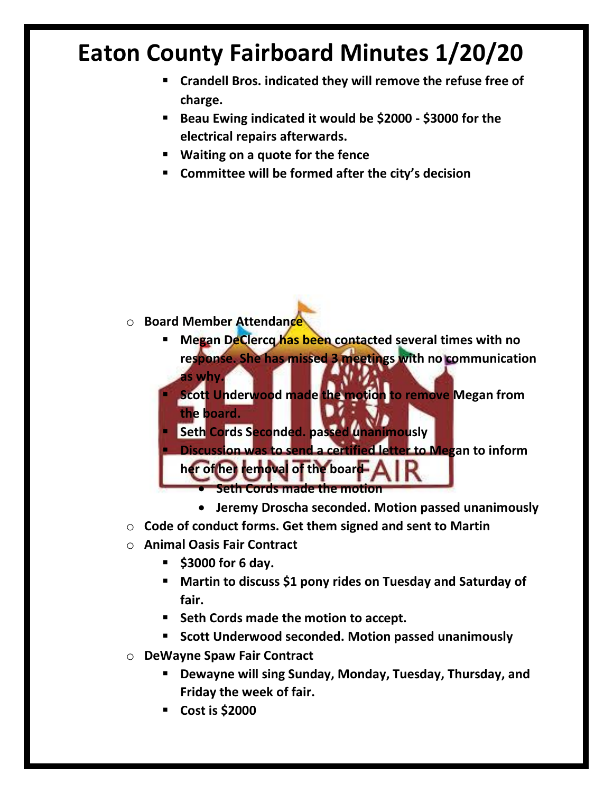- **Crandell Bros. indicated they will remove the refuse free of charge.**
- **Beau Ewing indicated it would be \$2000 - \$3000 for the electrical repairs afterwards.**
- **Waiting on a quote for the fence**
- **Committee will be formed after the city's decision**

- o **Board Member Attendance**
	- **Megan DeClercq has been contacted several times with no response. She has missed 3 meetings with no communication as why.**
	- **Scott Underwood made the motion to remove Megan from the board.**
	- **E** Seth Cords Seconded. passed unanimously
	- **Discussion was to send a certified letter to Megan to inform her of her removal of the board**
		- **Seth Cords made the motion**
		- **Jeremy Droscha seconded. Motion passed unanimously**
- o **Code of conduct forms. Get them signed and sent to Martin**
- o **Animal Oasis Fair Contract**
	- **\$3000 for 6 day.**
	- **Martin to discuss \$1 pony rides on Tuesday and Saturday of fair.**
	- **Seth Cords made the motion to accept.**
	- **Scott Underwood seconded. Motion passed unanimously**
- o **DeWayne Spaw Fair Contract**
	- **Dewayne will sing Sunday, Monday, Tuesday, Thursday, and Friday the week of fair.**
	- **Cost is \$2000**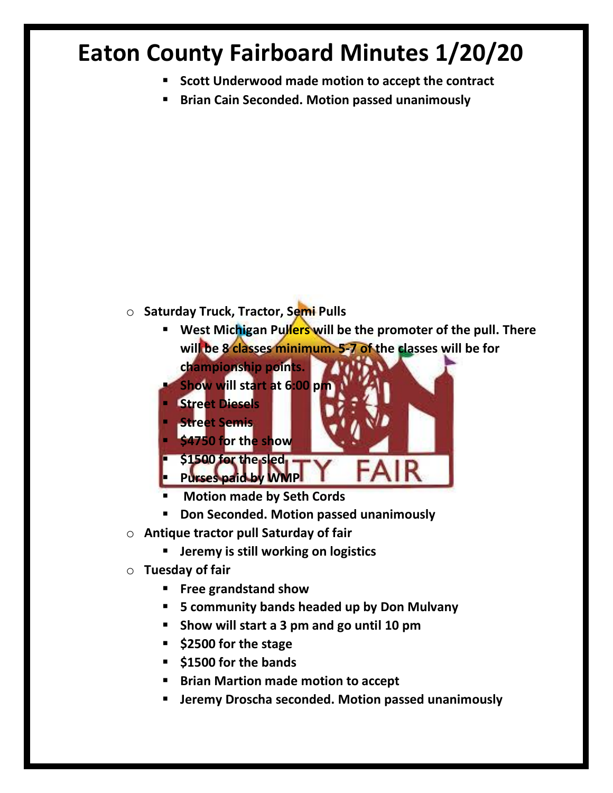- **Scott Underwood made motion to accept the contract**
- **Brian Cain Seconded. Motion passed unanimously**

- o **Saturday Truck, Tractor, Semi Pulls**
	- **EXECT** West Michigan Pullers will be the promoter of the pull. There **will be 8 classes minimum. 5-7 of the classes will be for** 
		- **championship points.**



- **Motion made by Seth Cords**
- **Don Seconded. Motion passed unanimously**
- o **Antique tractor pull Saturday of fair**
	- **Jeremy is still working on logistics**
- o **Tuesday of fair**
	- **Free grandstand show**
	- **5 community bands headed up by Don Mulvany**
	- **Show will start a 3 pm and go until 10 pm**
	- **\$2500 for the stage**
	- **\$1500 for the bands**
	- **Brian Martion made motion to accept**
	- **Jeremy Droscha seconded. Motion passed unanimously**